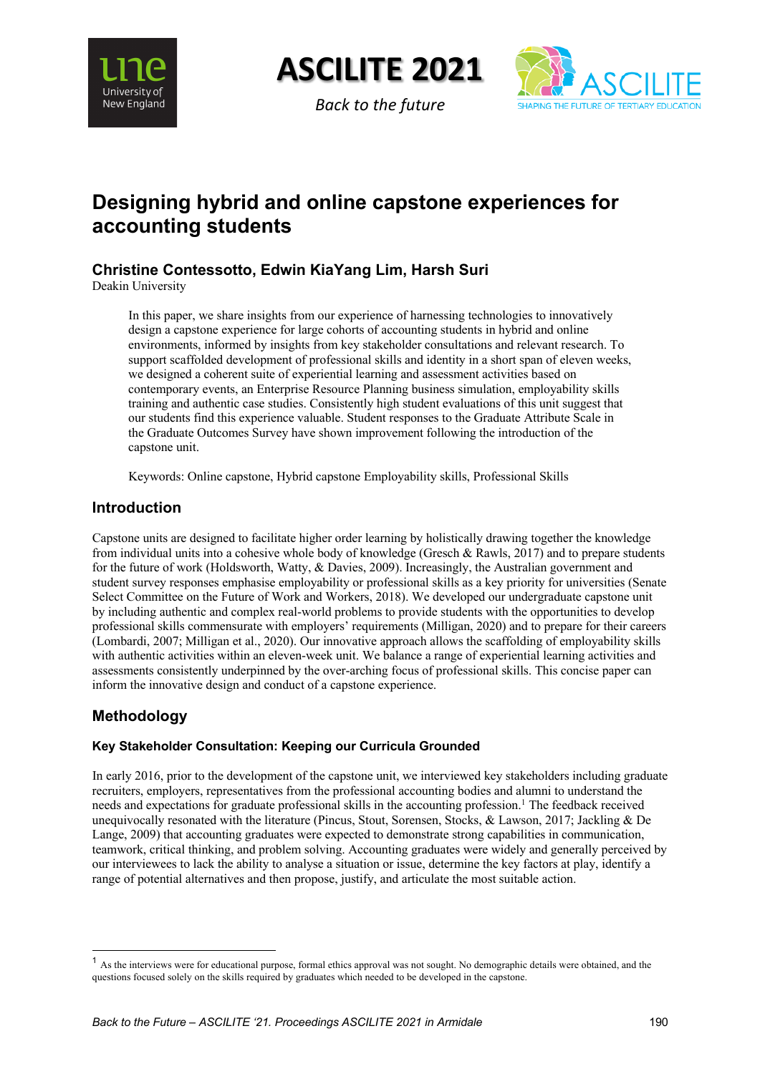



*Back to the future*



# **Designing hybrid and online capstone experiences for accounting students**

# **Christine Contessotto, Edwin KiaYang Lim, Harsh Suri**

Deakin University

In this paper, we share insights from our experience of harnessing technologies to innovatively design a capstone experience for large cohorts of accounting students in hybrid and online environments, informed by insights from key stakeholder consultations and relevant research. To support scaffolded development of professional skills and identity in a short span of eleven weeks, we designed a coherent suite of experiential learning and assessment activities based on contemporary events, an Enterprise Resource Planning business simulation, employability skills training and authentic case studies. Consistently high student evaluations of this unit suggest that our students find this experience valuable. Student responses to the Graduate Attribute Scale in the Graduate Outcomes Survey have shown improvement following the introduction of the capstone unit.

Keywords: Online capstone, Hybrid capstone Employability skills, Professional Skills

## **Introduction**

Capstone units are designed to facilitate higher order learning by holistically drawing together the knowledge from individual units into a cohesive whole body of knowledge (Gresch & Rawls, 2017) and to prepare students for the future of work (Holdsworth, Watty, & Davies, 2009). Increasingly, the Australian government and student survey responses emphasise employability or professional skills as a key priority for universities (Senate Select Committee on the Future of Work and Workers, 2018). We developed our undergraduate capstone unit by including authentic and complex real-world problems to provide students with the opportunities to develop professional skills commensurate with employers' requirements (Milligan, 2020) and to prepare for their careers (Lombardi, 2007; Milligan et al., 2020). Our innovative approach allows the scaffolding of employability skills with authentic activities within an eleven-week unit. We balance a range of experiential learning activities and assessments consistently underpinned by the over-arching focus of professional skills. This concise paper can inform the innovative design and conduct of a capstone experience.

# **Methodology**

### **Key Stakeholder Consultation: Keeping our Curricula Grounded**

In early 2016, prior to the development of the capstone unit, we interviewed key stakeholders including graduate recruiters, employers, representatives from the professional accounting bodies and alumni to understand the needs and expectations for graduate professional skills in the accounting profession.<sup>1</sup> The feedback received unequivocally resonated with the literature (Pincus, Stout, Sorensen, Stocks, & Lawson, 2017; Jackling & De Lange, 2009) that accounting graduates were expected to demonstrate strong capabilities in communication, teamwork, critical thinking, and problem solving. Accounting graduates were widely and generally perceived by our interviewees to lack the ability to analyse a situation or issue, determine the key factors at play, identify a range of potential alternatives and then propose, justify, and articulate the most suitable action.

<sup>&</sup>lt;sup>1</sup> As the interviews were for educational purpose, formal ethics approval was not sought. No demographic details were obtained, and the questions focused solely on the skills required by graduates which needed to be developed in the capstone.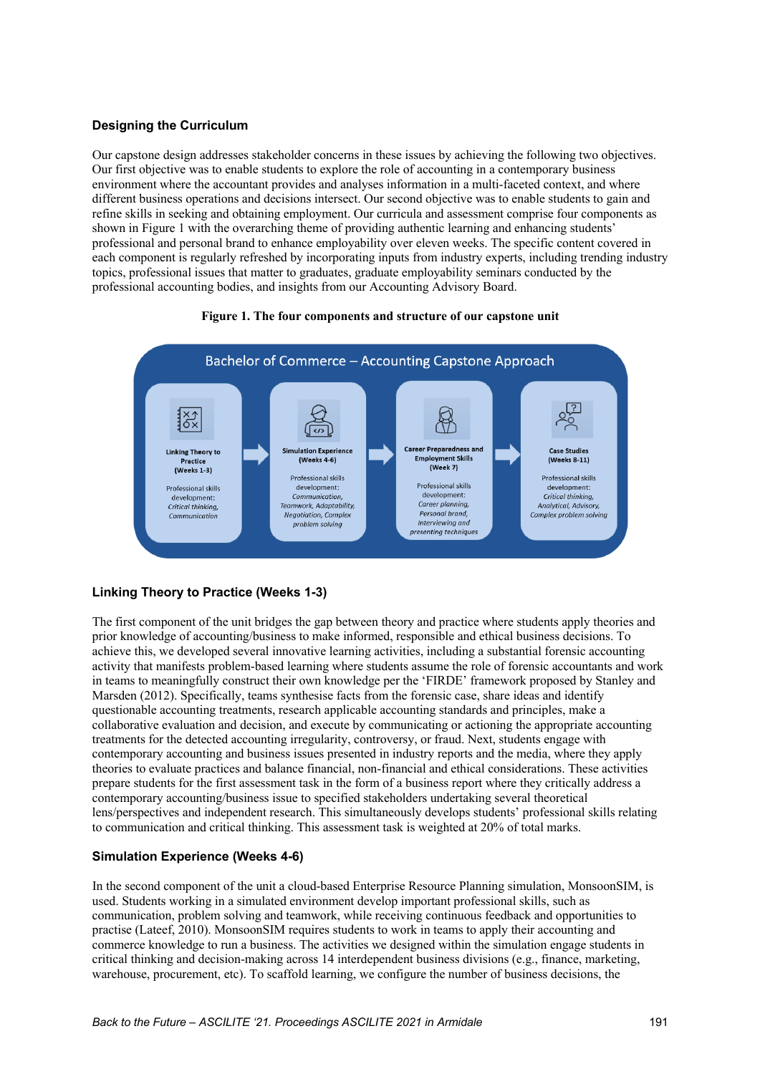### **Designing the Curriculum**

Our capstone design addresses stakeholder concerns in these issues by achieving the following two objectives. Our first objective was to enable students to explore the role of accounting in a contemporary business environment where the accountant provides and analyses information in a multi-faceted context, and where different business operations and decisions intersect. Our second objective was to enable students to gain and refine skills in seeking and obtaining employment. Our curricula and assessment comprise four components as shown in Figure 1 with the overarching theme of providing authentic learning and enhancing students' professional and personal brand to enhance employability over eleven weeks. The specific content covered in each component is regularly refreshed by incorporating inputs from industry experts, including trending industry topics, professional issues that matter to graduates, graduate employability seminars conducted by the professional accounting bodies, and insights from our Accounting Advisory Board.

#### **Figure 1. The four components and structure of our capstone unit**



### **Linking Theory to Practice (Weeks 1-3)**

The first component of the unit bridges the gap between theory and practice where students apply theories and prior knowledge of accounting/business to make informed, responsible and ethical business decisions. To achieve this, we developed several innovative learning activities, including a substantial forensic accounting activity that manifests problem-based learning where students assume the role of forensic accountants and work in teams to meaningfully construct their own knowledge per the 'FIRDE' framework proposed by Stanley and Marsden (2012). Specifically, teams synthesise facts from the forensic case, share ideas and identify questionable accounting treatments, research applicable accounting standards and principles, make a collaborative evaluation and decision, and execute by communicating or actioning the appropriate accounting treatments for the detected accounting irregularity, controversy, or fraud. Next, students engage with contemporary accounting and business issues presented in industry reports and the media, where they apply theories to evaluate practices and balance financial, non-financial and ethical considerations. These activities prepare students for the first assessment task in the form of a business report where they critically address a contemporary accounting/business issue to specified stakeholders undertaking several theoretical lens/perspectives and independent research. This simultaneously develops students' professional skills relating to communication and critical thinking. This assessment task is weighted at 20% of total marks.

#### **Simulation Experience (Weeks 4-6)**

In the second component of the unit a cloud-based Enterprise Resource Planning simulation, MonsoonSIM, is used. Students working in a simulated environment develop important professional skills, such as communication, problem solving and teamwork, while receiving continuous feedback and opportunities to practise (Lateef, 2010). MonsoonSIM requires students to work in teams to apply their accounting and commerce knowledge to run a business. The activities we designed within the simulation engage students in critical thinking and decision-making across 14 interdependent business divisions (e.g., finance, marketing, warehouse, procurement, etc). To scaffold learning, we configure the number of business decisions, the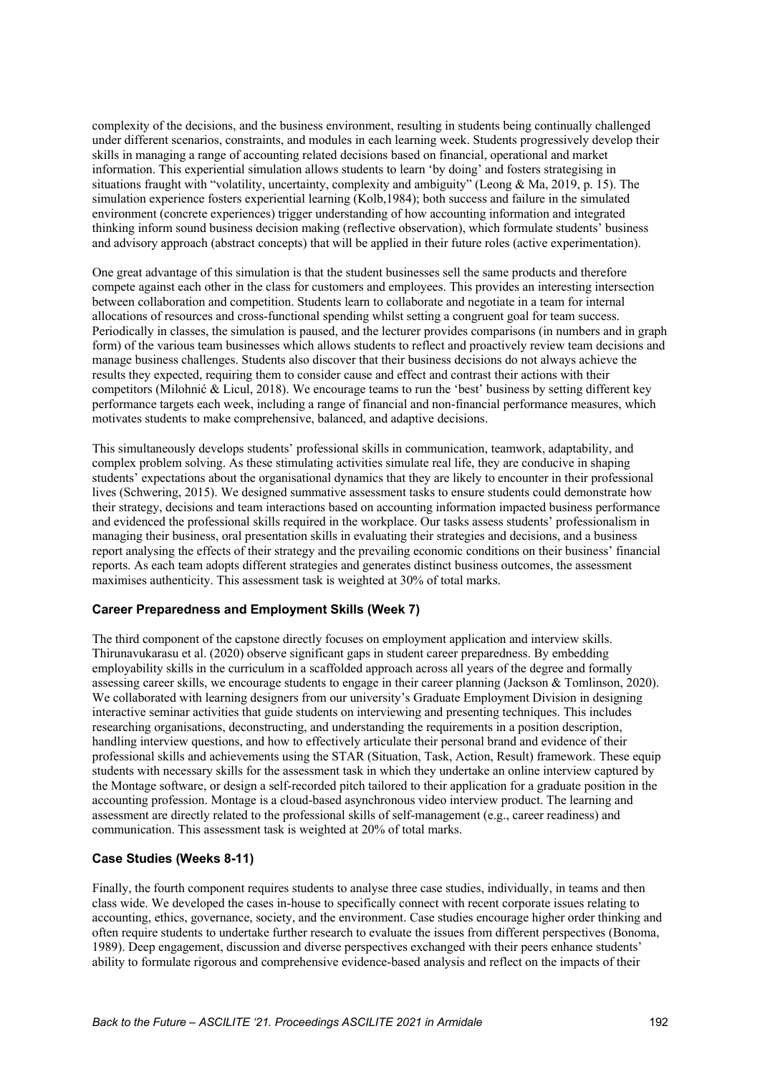complexity of the decisions, and the business environment, resulting in students being continually challenged under different scenarios, constraints, and modules in each learning week. Students progressively develop their skills in managing a range of accounting related decisions based on financial, operational and market information. This experiential simulation allows students to learn 'by doing' and fosters strategising in situations fraught with "volatility, uncertainty, complexity and ambiguity" (Leong & Ma, 2019, p. 15). The simulation experience fosters experiential learning (Kolb,1984); both success and failure in the simulated environment (concrete experiences) trigger understanding of how accounting information and integrated thinking inform sound business decision making (reflective observation), which formulate students' business and advisory approach (abstract concepts) that will be applied in their future roles (active experimentation).

One great advantage of this simulation is that the student businesses sell the same products and therefore compete against each other in the class for customers and employees. This provides an interesting intersection between collaboration and competition. Students learn to collaborate and negotiate in a team for internal allocations of resources and cross-functional spending whilst setting a congruent goal for team success. Periodically in classes, the simulation is paused, and the lecturer provides comparisons (in numbers and in graph form) of the various team businesses which allows students to reflect and proactively review team decisions and manage business challenges. Students also discover that their business decisions do not always achieve the results they expected, requiring them to consider cause and effect and contrast their actions with their competitors (Milohnić & Licul, 2018). We encourage teams to run the 'best' business by setting different key performance targets each week, including a range of financial and non-financial performance measures, which motivates students to make comprehensive, balanced, and adaptive decisions.

This simultaneously develops students' professional skills in communication, teamwork, adaptability, and complex problem solving. As these stimulating activities simulate real life, they are conducive in shaping students' expectations about the organisational dynamics that they are likely to encounter in their professional lives (Schwering, 2015). We designed summative assessment tasks to ensure students could demonstrate how their strategy, decisions and team interactions based on accounting information impacted business performance and evidenced the professional skills required in the workplace. Our tasks assess students' professionalism in managing their business, oral presentation skills in evaluating their strategies and decisions, and a business report analysing the effects of their strategy and the prevailing economic conditions on their business' financial reports. As each team adopts different strategies and generates distinct business outcomes, the assessment maximises authenticity. This assessment task is weighted at 30% of total marks.

#### **Career Preparedness and Employment Skills (Week 7)**

The third component of the capstone directly focuses on employment application and interview skills. Thirunavukarasu et al. (2020) observe significant gaps in student career preparedness. By embedding employability skills in the curriculum in a scaffolded approach across all years of the degree and formally assessing career skills, we encourage students to engage in their career planning (Jackson & Tomlinson, 2020). We collaborated with learning designers from our university's Graduate Employment Division in designing interactive seminar activities that guide students on interviewing and presenting techniques. This includes researching organisations, deconstructing, and understanding the requirements in a position description, handling interview questions, and how to effectively articulate their personal brand and evidence of their professional skills and achievements using the STAR (Situation, Task, Action, Result) framework. These equip students with necessary skills for the assessment task in which they undertake an online interview captured by the Montage software, or design a self-recorded pitch tailored to their application for a graduate position in the accounting profession. Montage is a cloud-based asynchronous video interview product. The learning and assessment are directly related to the professional skills of self-management (e.g., career readiness) and communication. This assessment task is weighted at 20% of total marks.

#### **Case Studies (Weeks 8-11)**

Finally, the fourth component requires students to analyse three case studies, individually, in teams and then class wide. We developed the cases in-house to specifically connect with recent corporate issues relating to accounting, ethics, governance, society, and the environment. Case studies encourage higher order thinking and often require students to undertake further research to evaluate the issues from different perspectives (Bonoma, 1989). Deep engagement, discussion and diverse perspectives exchanged with their peers enhance students' ability to formulate rigorous and comprehensive evidence-based analysis and reflect on the impacts of their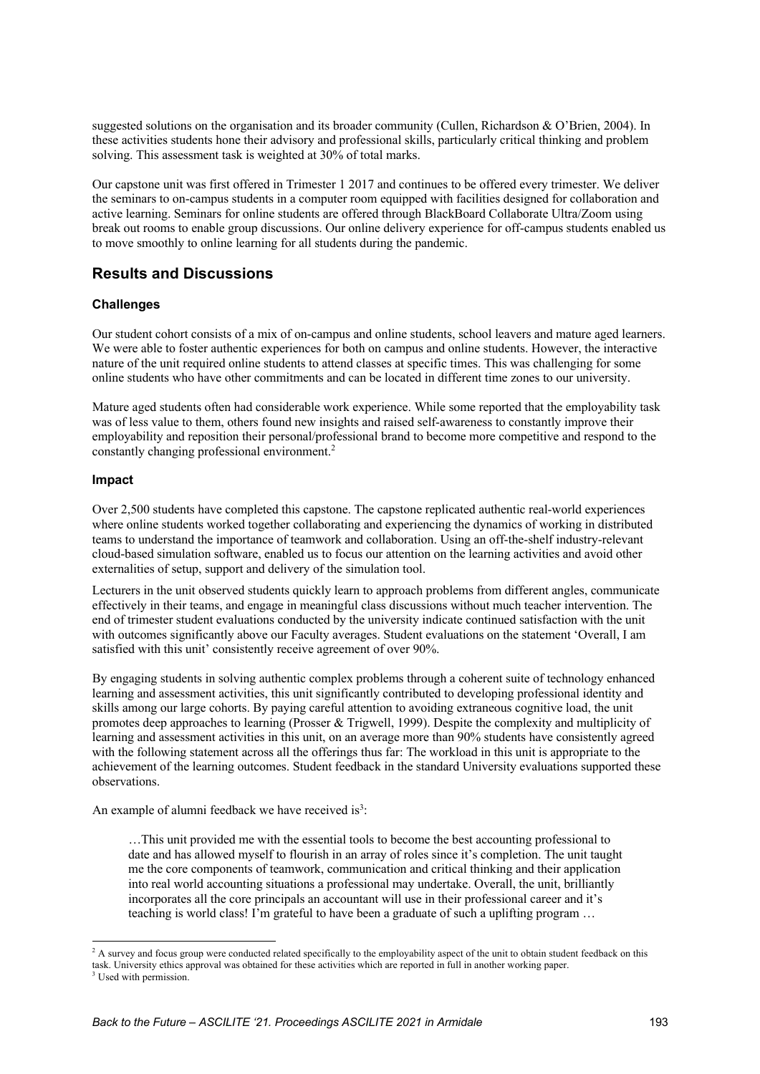suggested solutions on the organisation and its broader community (Cullen, Richardson & O'Brien, 2004). In these activities students hone their advisory and professional skills, particularly critical thinking and problem solving. This assessment task is weighted at 30% of total marks.

Our capstone unit was first offered in Trimester 1 2017 and continues to be offered every trimester. We deliver the seminars to on-campus students in a computer room equipped with facilities designed for collaboration and active learning. Seminars for online students are offered through BlackBoard Collaborate Ultra/Zoom using break out rooms to enable group discussions. Our online delivery experience for off-campus students enabled us to move smoothly to online learning for all students during the pandemic.

### **Results and Discussions**

### **Challenges**

Our student cohort consists of a mix of on-campus and online students, school leavers and mature aged learners. We were able to foster authentic experiences for both on campus and online students. However, the interactive nature of the unit required online students to attend classes at specific times. This was challenging for some online students who have other commitments and can be located in different time zones to our university.

Mature aged students often had considerable work experience. While some reported that the employability task was of less value to them, others found new insights and raised self-awareness to constantly improve their employability and reposition their personal/professional brand to become more competitive and respond to the constantly changing professional environment.2

#### **Impact**

Over 2,500 students have completed this capstone. The capstone replicated authentic real-world experiences where online students worked together collaborating and experiencing the dynamics of working in distributed teams to understand the importance of teamwork and collaboration. Using an off-the-shelf industry-relevant cloud-based simulation software, enabled us to focus our attention on the learning activities and avoid other externalities of setup, support and delivery of the simulation tool.

Lecturers in the unit observed students quickly learn to approach problems from different angles, communicate effectively in their teams, and engage in meaningful class discussions without much teacher intervention. The end of trimester student evaluations conducted by the university indicate continued satisfaction with the unit with outcomes significantly above our Faculty averages. Student evaluations on the statement 'Overall, I am satisfied with this unit' consistently receive agreement of over 90%.

By engaging students in solving authentic complex problems through a coherent suite of technology enhanced learning and assessment activities, this unit significantly contributed to developing professional identity and skills among our large cohorts. By paying careful attention to avoiding extraneous cognitive load, the unit promotes deep approaches to learning (Prosser & Trigwell, 1999). Despite the complexity and multiplicity of learning and assessment activities in this unit, on an average more than 90% students have consistently agreed with the following statement across all the offerings thus far: The workload in this unit is appropriate to the achievement of the learning outcomes. Student feedback in the standard University evaluations supported these observations.

An example of alumni feedback we have received is<sup>3</sup>:

…This unit provided me with the essential tools to become the best accounting professional to date and has allowed myself to flourish in an array of roles since it's completion. The unit taught me the core components of teamwork, communication and critical thinking and their application into real world accounting situations a professional may undertake. Overall, the unit, brilliantly incorporates all the core principals an accountant will use in their professional career and it's teaching is world class! I'm grateful to have been a graduate of such a uplifting program …

<sup>&</sup>lt;sup>2</sup> A survey and focus group were conducted related specifically to the employability aspect of the unit to obtain student feedback on this task. University ethics approval was obtained for these activities which are reported in full in another working paper. <sup>3</sup> Used with permission.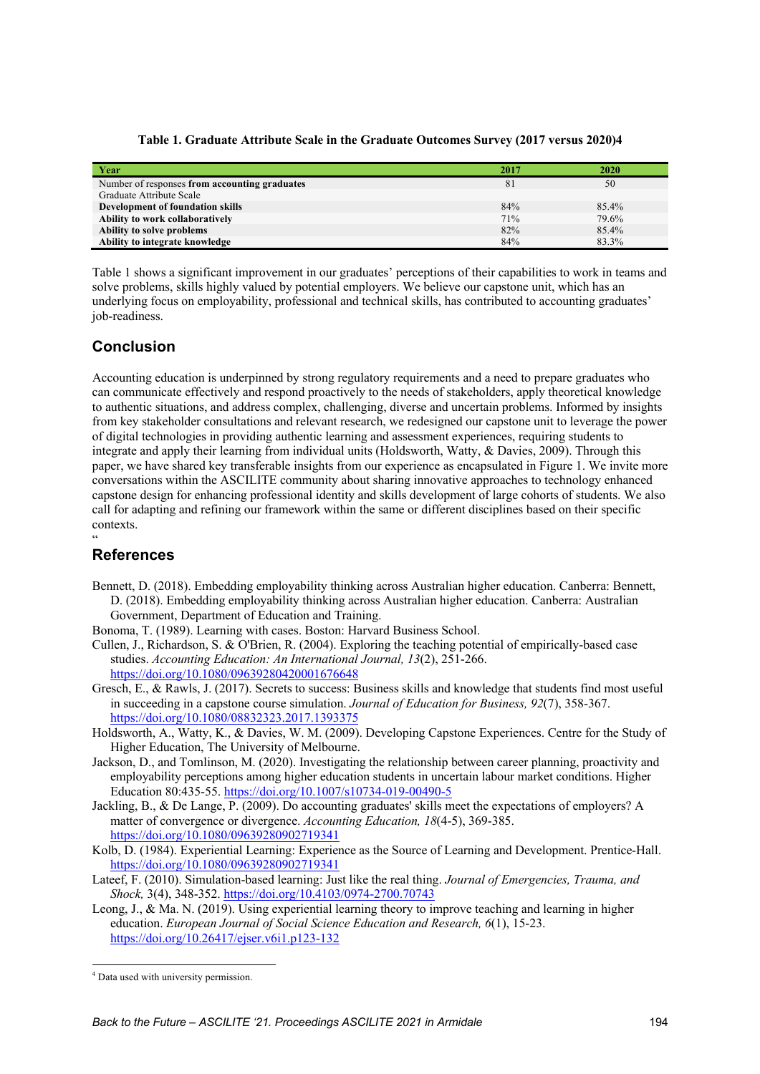|  | Table 1. Graduate Attribute Scale in the Graduate Outcomes Survey (2017 versus 2020)4 |  |  |  |  |
|--|---------------------------------------------------------------------------------------|--|--|--|--|
|--|---------------------------------------------------------------------------------------|--|--|--|--|

| Year                                          | 2017 | 2020  |
|-----------------------------------------------|------|-------|
| Number of responses from accounting graduates | 81   | 50    |
| Graduate Attribute Scale                      |      |       |
| <b>Development of foundation skills</b>       | 84%  | 85.4% |
| Ability to work collaboratively               | 71%  | 79.6% |
| Ability to solve problems                     | 82%  | 85.4% |
| Ability to integrate knowledge                | 84%  | 83.3% |

Table 1 shows a significant improvement in our graduates' perceptions of their capabilities to work in teams and solve problems, skills highly valued by potential employers. We believe our capstone unit, which has an underlying focus on employability, professional and technical skills, has contributed to accounting graduates' job-readiness.

# **Conclusion**

Accounting education is underpinned by strong regulatory requirements and a need to prepare graduates who can communicate effectively and respond proactively to the needs of stakeholders, apply theoretical knowledge to authentic situations, and address complex, challenging, diverse and uncertain problems. Informed by insights from key stakeholder consultations and relevant research, we redesigned our capstone unit to leverage the power of digital technologies in providing authentic learning and assessment experiences, requiring students to integrate and apply their learning from individual units (Holdsworth, Watty, & Davies, 2009). Through this paper, we have shared key transferable insights from our experience as encapsulated in Figure 1. We invite more conversations within the ASCILITE community about sharing innovative approaches to technology enhanced capstone design for enhancing professional identity and skills development of large cohorts of students. We also call for adapting and refining our framework within the same or different disciplines based on their specific contexts.

### " **References**

- Bennett, D. (2018). Embedding employability thinking across Australian higher education. Canberra: Bennett, D. (2018). Embedding employability thinking across Australian higher education. Canberra: Australian Government, Department of Education and Training.
- Bonoma, T. (1989). Learning with cases. Boston: Harvard Business School.
- Cullen, J., Richardson, S. & O'Brien, R. (2004). Exploring the teaching potential of empirically-based case studies. *Accounting Education: An International Journal, 13*(2), 251-266. https://doi.org/10.1080/09639280420001676648
- Gresch, E., & Rawls, J. (2017). Secrets to success: Business skills and knowledge that students find most useful in succeeding in a capstone course simulation. *Journal of Education for Business, 92*(7), 358-367. https://doi.org/10.1080/08832323.2017.1393375
- Holdsworth, A., Watty, K., & Davies, W. M. (2009). Developing Capstone Experiences. Centre for the Study of Higher Education, The University of Melbourne.
- Jackson, D., and Tomlinson, M. (2020). Investigating the relationship between career planning, proactivity and employability perceptions among higher education students in uncertain labour market conditions. Higher Education 80:435-55. https://doi.org/10.1007/s10734-019-00490-5
- Jackling, B., & De Lange, P. (2009). Do accounting graduates' skills meet the expectations of employers? A matter of convergence or divergence. *Accounting Education, 18*(4-5), 369-385. https://doi.org/10.1080/09639280902719341
- Kolb, D. (1984). Experiential Learning: Experience as the Source of Learning and Development. Prentice-Hall. https://doi.org/10.1080/09639280902719341
- Lateef, F. (2010). Simulation-based learning: Just like the real thing. *Journal of Emergencies, Trauma, and Shock,* 3(4), 348-352. https://doi.org/10.4103/0974-2700.70743
- Leong, J., & Ma. N. (2019). Using experiential learning theory to improve teaching and learning in higher education. *European Journal of Social Science Education and Research, 6*(1), 15-23. https://doi.org/10.26417/ejser.v6i1.p123-132

<sup>4</sup> Data used with university permission.